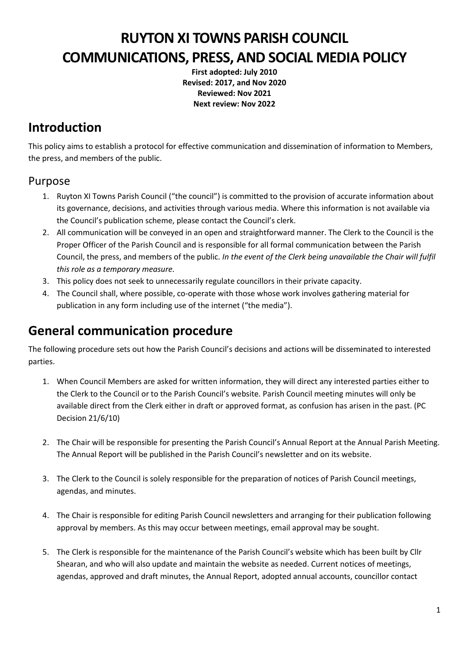# **RUYTON XI TOWNS PARISH COUNCIL COMMUNICATIONS, PRESS, AND SOCIAL MEDIA POLICY**

**First adopted: July 2010 Revised: 2017, and Nov 2020 Reviewed: Nov 2021 Next review: Nov 2022**

# **Introduction**

This policy aims to establish a protocol for effective communication and dissemination of information to Members, the press, and members of the public.

#### Purpose

- 1. Ruyton XI Towns Parish Council ("the council") is committed to the provision of accurate information about its governance, decisions, and activities through various media. Where this information is not available via the Council's publication scheme, please contact the Council's clerk.
- 2. All communication will be conveyed in an open and straightforward manner. The Clerk to the Council is the Proper Officer of the Parish Council and is responsible for all formal communication between the Parish Council, the press, and members of the public. *In the event of the Clerk being unavailable the Chair will fulfil this role as a temporary measure.*
- 3. This policy does not seek to unnecessarily regulate councillors in their private capacity.
- 4. The Council shall, where possible, co‐operate with those whose work involves gathering material for publication in any form including use of the internet ("the media").

# **General communication procedure**

The following procedure sets out how the Parish Council's decisions and actions will be disseminated to interested parties.

- 1. When Council Members are asked for written information, they will direct any interested parties either to the Clerk to the Council or to the Parish Council's website*.* Parish Council meeting minutes will only be available direct from the Clerk either in draft or approved format, as confusion has arisen in the past. (PC Decision 21/6/10)
- 2. The Chair will be responsible for presenting the Parish Council's Annual Report at the Annual Parish Meeting. The Annual Report will be published in the Parish Council's newsletter and on its website.
- 3. The Clerk to the Council is solely responsible for the preparation of notices of Parish Council meetings, agendas, and minutes.
- 4. The Chair is responsible for editing Parish Council newsletters and arranging for their publication following approval by members. As this may occur between meetings, email approval may be sought.
- 5. The Clerk is responsible for the maintenance of the Parish Council's website which has been built by Cllr Shearan, and who will also update and maintain the website as needed. Current notices of meetings, agendas, approved and draft minutes, the Annual Report, adopted annual accounts, councillor contact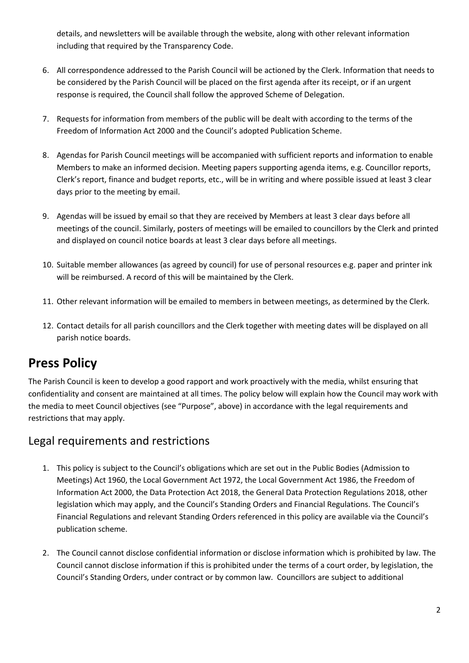details, and newsletters will be available through the website, along with other relevant information including that required by the Transparency Code.

- 6. All correspondence addressed to the Parish Council will be actioned by the Clerk. Information that needs to be considered by the Parish Council will be placed on the first agenda after its receipt, or if an urgent response is required, the Council shall follow the approved Scheme of Delegation.
- 7. Requests for information from members of the public will be dealt with according to the terms of the Freedom of Information Act 2000 and the Council's adopted Publication Scheme.
- 8. Agendas for Parish Council meetings will be accompanied with sufficient reports and information to enable Members to make an informed decision. Meeting papers supporting agenda items, e.g. Councillor reports, Clerk's report, finance and budget reports, etc., will be in writing and where possible issued at least 3 clear days prior to the meeting by email.
- 9. Agendas will be issued by email so that they are received by Members at least 3 clear days before all meetings of the council. Similarly, posters of meetings will be emailed to councillors by the Clerk and printed and displayed on council notice boards at least 3 clear days before all meetings.
- 10. Suitable member allowances (as agreed by council) for use of personal resources e.g. paper and printer ink will be reimbursed. A record of this will be maintained by the Clerk.
- 11. Other relevant information will be emailed to members in between meetings, as determined by the Clerk.
- 12. Contact details for all parish councillors and the Clerk together with meeting dates will be displayed on all parish notice boards.

# **Press Policy**

The Parish Council is keen to develop a good rapport and work proactively with the media, whilst ensuring that confidentiality and consent are maintained at all times. The policy below will explain how the Council may work with the media to meet Council objectives (see "Purpose", above) in accordance with the legal requirements and restrictions that may apply.

#### Legal requirements and restrictions

- 1. This policy is subject to the Council's obligations which are set out in the Public Bodies (Admission to Meetings) Act 1960, the Local Government Act 1972, the Local Government Act 1986, the Freedom of Information Act 2000, the Data Protection Act 2018, the General Data Protection Regulations 2018, other legislation which may apply, and the Council's Standing Orders and Financial Regulations. The Council's Financial Regulations and relevant Standing Orders referenced in this policy are available via the Council's publication scheme.
- 2. The Council cannot disclose confidential information or disclose information which is prohibited by law. The Council cannot disclose information if this is prohibited under the terms of a court order, by legislation, the Council's Standing Orders, under contract or by common law. Councillors are subject to additional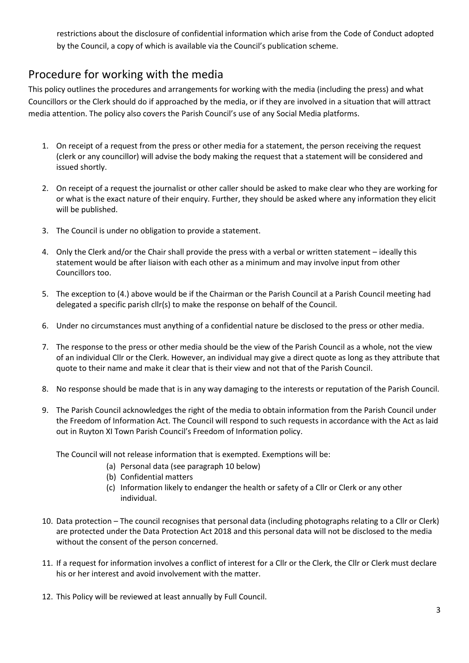restrictions about the disclosure of confidential information which arise from the Code of Conduct adopted by the Council, a copy of which is available via the Council's publication scheme.

## Procedure for working with the media

This policy outlines the procedures and arrangements for working with the media (including the press) and what Councillors or the Clerk should do if approached by the media, or if they are involved in a situation that will attract media attention. The policy also covers the Parish Council's use of any Social Media platforms.

- 1. On receipt of a request from the press or other media for a statement, the person receiving the request (clerk or any councillor) will advise the body making the request that a statement will be considered and issued shortly.
- 2. On receipt of a request the journalist or other caller should be asked to make clear who they are working for or what is the exact nature of their enquiry. Further, they should be asked where any information they elicit will be published.
- 3. The Council is under no obligation to provide a statement.
- 4. Only the Clerk and/or the Chair shall provide the press with a verbal or written statement ideally this statement would be after liaison with each other as a minimum and may involve input from other Councillors too.
- 5. The exception to (4.) above would be if the Chairman or the Parish Council at a Parish Council meeting had delegated a specific parish cllr(s) to make the response on behalf of the Council.
- 6. Under no circumstances must anything of a confidential nature be disclosed to the press or other media.
- 7. The response to the press or other media should be the view of the Parish Council as a whole, not the view of an individual Cllr or the Clerk. However, an individual may give a direct quote as long as they attribute that quote to their name and make it clear that is their view and not that of the Parish Council.
- 8. No response should be made that is in any way damaging to the interests or reputation of the Parish Council.
- 9. The Parish Council acknowledges the right of the media to obtain information from the Parish Council under the Freedom of Information Act. The Council will respond to such requests in accordance with the Act as laid out in Ruyton XI Town Parish Council's Freedom of Information policy.

The Council will not release information that is exempted. Exemptions will be:

- (a) Personal data (see paragraph 10 below)
- (b) Confidential matters
- (c) Information likely to endanger the health or safety of a Cllr or Clerk or any other individual.
- 10. Data protection The council recognises that personal data (including photographs relating to a Cllr or Clerk) are protected under the Data Protection Act 2018 and this personal data will not be disclosed to the media without the consent of the person concerned.
- 11. If a request for information involves a conflict of interest for a Cllr or the Clerk, the Cllr or Clerk must declare his or her interest and avoid involvement with the matter.
- 12. This Policy will be reviewed at least annually by Full Council.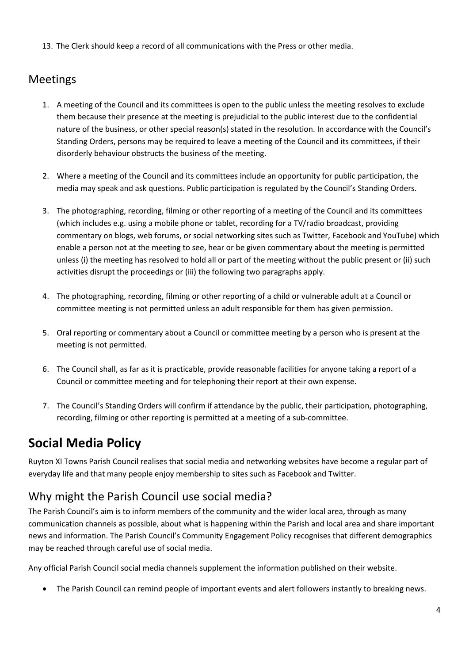13. The Clerk should keep a record of all communications with the Press or other media.

### Meetings

- 1. A meeting of the Council and its committees is open to the public unless the meeting resolves to exclude them because their presence at the meeting is prejudicial to the public interest due to the confidential nature of the business, or other special reason(s) stated in the resolution. In accordance with the Council's Standing Orders, persons may be required to leave a meeting of the Council and its committees, if their disorderly behaviour obstructs the business of the meeting.
- 2. Where a meeting of the Council and its committees include an opportunity for public participation, the media may speak and ask questions. Public participation is regulated by the Council's Standing Orders.
- 3. The photographing, recording, filming or other reporting of a meeting of the Council and its committees (which includes e.g. using a mobile phone or tablet, recording for a TV/radio broadcast, providing commentary on blogs, web forums, or social networking sites such as Twitter, Facebook and YouTube) which enable a person not at the meeting to see, hear or be given commentary about the meeting is permitted unless (i) the meeting has resolved to hold all or part of the meeting without the public present or (ii) such activities disrupt the proceedings or (iii) the following two paragraphs apply.
- 4. The photographing, recording, filming or other reporting of a child or vulnerable adult at a Council or committee meeting is not permitted unless an adult responsible for them has given permission.
- 5. Oral reporting or commentary about a Council or committee meeting by a person who is present at the meeting is not permitted.
- 6. The Council shall, as far as it is practicable, provide reasonable facilities for anyone taking a report of a Council or committee meeting and for telephoning their report at their own expense.
- 7. The Council's Standing Orders will confirm if attendance by the public, their participation, photographing, recording, filming or other reporting is permitted at a meeting of a sub‐committee.

# **Social Media Policy**

Ruyton XI Towns Parish Council realises that social media and networking websites have become a regular part of everyday life and that many people enjoy membership to sites such as Facebook and Twitter.

# Why might the Parish Council use social media?

The Parish Council's aim is to inform members of the community and the wider local area, through as many communication channels as possible, about what is happening within the Parish and local area and share important news and information. The Parish Council's Community Engagement Policy recognises that different demographics may be reached through careful use of social media.

Any official Parish Council social media channels supplement the information published on their website.

• The Parish Council can remind people of important events and alert followers instantly to breaking news.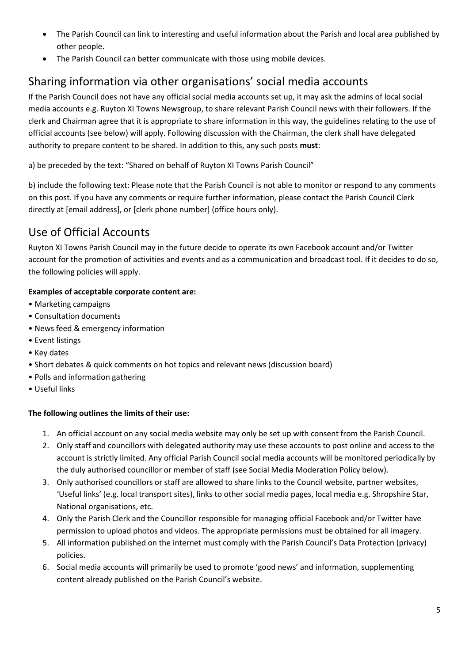- The Parish Council can link to interesting and useful information about the Parish and local area published by other people.
- The Parish Council can better communicate with those using mobile devices.

# Sharing information via other organisations' social media accounts

If the Parish Council does not have any official social media accounts set up, it may ask the admins of local social media accounts e.g. Ruyton XI Towns Newsgroup, to share relevant Parish Council news with their followers. If the clerk and Chairman agree that it is appropriate to share information in this way, the guidelines relating to the use of official accounts (see below) will apply. Following discussion with the Chairman, the clerk shall have delegated authority to prepare content to be shared. In addition to this, any such posts **must**:

a) be preceded by the text: "Shared on behalf of Ruyton XI Towns Parish Council"

b) include the following text: Please note that the Parish Council is not able to monitor or respond to any comments on this post. If you have any comments or require further information, please contact the Parish Council Clerk directly at [email address], or [clerk phone number] (office hours only).

# Use of Official Accounts

Ruyton XI Towns Parish Council may in the future decide to operate its own Facebook account and/or Twitter account for the promotion of activities and events and as a communication and broadcast tool. If it decides to do so, the following policies will apply.

#### **Examples of acceptable corporate content are:**

- Marketing campaigns
- Consultation documents
- News feed & emergency information
- Event listings
- Key dates
- Short debates & quick comments on hot topics and relevant news (discussion board)
- Polls and information gathering
- Useful links

#### **The following outlines the limits of their use:**

- 1. An official account on any social media website may only be set up with consent from the Parish Council.
- 2. Only staff and councillors with delegated authority may use these accounts to post online and access to the account is strictly limited. Any official Parish Council social media accounts will be monitored periodically by the duly authorised councillor or member of staff (see Social Media Moderation Policy below).
- 3. Only authorised councillors or staff are allowed to share links to the Council website, partner websites, 'Useful links' (e.g. local transport sites), links to other social media pages, local media e.g. Shropshire Star, National organisations, etc.
- 4. Only the Parish Clerk and the Councillor responsible for managing official Facebook and/or Twitter have permission to upload photos and videos. The appropriate permissions must be obtained for all imagery.
- 5. All information published on the internet must comply with the Parish Council's Data Protection (privacy) policies.
- 6. Social media accounts will primarily be used to promote 'good news' and information, supplementing content already published on the Parish Council's website.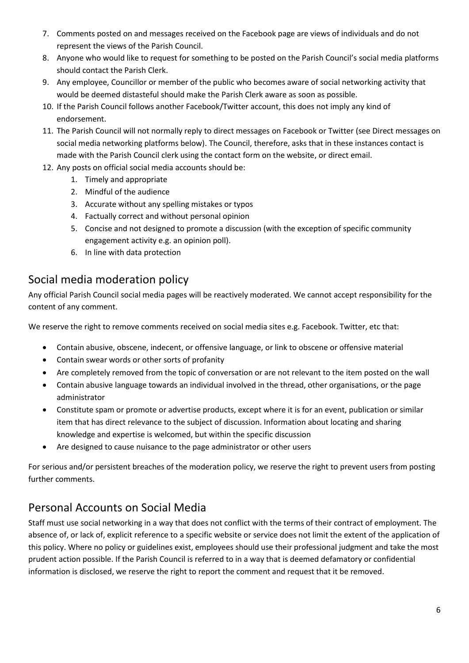- 7. Comments posted on and messages received on the Facebook page are views of individuals and do not represent the views of the Parish Council.
- 8. Anyone who would like to request for something to be posted on the Parish Council's social media platforms should contact the Parish Clerk.
- 9. Any employee, Councillor or member of the public who becomes aware of social networking activity that would be deemed distasteful should make the Parish Clerk aware as soon as possible.
- 10. If the Parish Council follows another Facebook/Twitter account, this does not imply any kind of endorsement.
- 11. The Parish Council will not normally reply to direct messages on Facebook or Twitter (see Direct messages on social media networking platforms below). The Council, therefore, asks that in these instances contact is made with the Parish Council clerk using the contact form on the website, or direct email.
- 12. Any posts on official social media accounts should be:
	- 1. Timely and appropriate
	- 2. Mindful of the audience
	- 3. Accurate without any spelling mistakes or typos
	- 4. Factually correct and without personal opinion
	- 5. Concise and not designed to promote a discussion (with the exception of specific community engagement activity e.g. an opinion poll).
	- 6. In line with data protection

## Social media moderation policy

Any official Parish Council social media pages will be reactively moderated. We cannot accept responsibility for the content of any comment.

We reserve the right to remove comments received on social media sites e.g. Facebook. Twitter, etc that:

- Contain abusive, obscene, indecent, or offensive language, or link to obscene or offensive material
- Contain swear words or other sorts of profanity
- Are completely removed from the topic of conversation or are not relevant to the item posted on the wall
- Contain abusive language towards an individual involved in the thread, other organisations, or the page administrator
- Constitute spam or promote or advertise products, except where it is for an event, publication or similar item that has direct relevance to the subject of discussion. Information about locating and sharing knowledge and expertise is welcomed, but within the specific discussion
- Are designed to cause nuisance to the page administrator or other users

For serious and/or persistent breaches of the moderation policy, we reserve the right to prevent users from posting further comments.

## Personal Accounts on Social Media

Staff must use social networking in a way that does not conflict with the terms of their contract of employment. The absence of, or lack of, explicit reference to a specific website or service does not limit the extent of the application of this policy. Where no policy or guidelines exist, employees should use their professional judgment and take the most prudent action possible. If the Parish Council is referred to in a way that is deemed defamatory or confidential information is disclosed, we reserve the right to report the comment and request that it be removed.